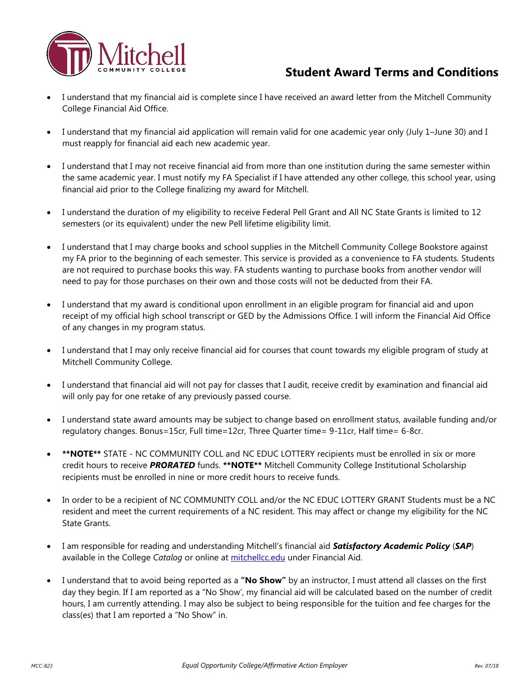

## **Student Award Terms and Conditions**

- I understand that my financial aid is complete since I have received an award letter from the Mitchell Community College Financial Aid Office.
- I understand that my financial aid application will remain valid for one academic year only (July 1–June 30) and I must reapply for financial aid each new academic year.
- I understand that I may not receive financial aid from more than one institution during the same semester within the same academic year. I must notify my FA Specialist if I have attended any other college, this school year, using financial aid prior to the College finalizing my award for Mitchell.
- I understand the duration of my eligibility to receive Federal Pell Grant and All NC State Grants is limited to 12 semesters (or its equivalent) under the new Pell lifetime eligibility limit.
- I understand that I may charge books and school supplies in the Mitchell Community College Bookstore against my FA prior to the beginning of each semester. This service is provided as a convenience to FA students. Students are not required to purchase books this way. FA students wanting to purchase books from another vendor will need to pay for those purchases on their own and those costs will not be deducted from their FA.
- I understand that my award is conditional upon enrollment in an eligible program for financial aid and upon receipt of my official high school transcript or GED by the Admissions Office. I will inform the Financial Aid Office of any changes in my program status.
- I understand that I may only receive financial aid for courses that count towards my eligible program of study at Mitchell Community College.
- I understand that financial aid will not pay for classes that I audit, receive credit by examination and financial aid will only pay for one retake of any previously passed course.
- I understand state award amounts may be subject to change based on enrollment status, available funding and/or regulatory changes. Bonus=15cr, Full time=12cr, Three Quarter time= 9-11cr, Half time= 6-8cr.
- **\*\*NOTE\*\*** STATE NC COMMUNITY COLL and NC EDUC LOTTERY recipients must be enrolled in six or more credit hours to receive *PRORATED* funds. **\*\*NOTE\*\*** Mitchell Community College Institutional Scholarship recipients must be enrolled in nine or more credit hours to receive funds.
- In order to be a recipient of NC COMMUNITY COLL and/or the NC EDUC LOTTERY GRANT Students must be a NC resident and meet the current requirements of a NC resident. This may affect or change my eligibility for the NC State Grants.
- I am responsible for reading and understanding Mitchell's financial aid *Satisfactory Academic Policy* (*SAP*) available in the College *Catalog* or online at [mitchellcc.edu](http://www.mitchellcc.edu/) under Financial Aid.
- I understand that to avoid being reported as a **"No Show"** by an instructor, I must attend all classes on the first day they begin. If I am reported as a "No Show', my financial aid will be calculated based on the number of credit hours, I am currently attending. I may also be subject to being responsible for the tuition and fee charges for the class(es) that I am reported a "No Show" in.